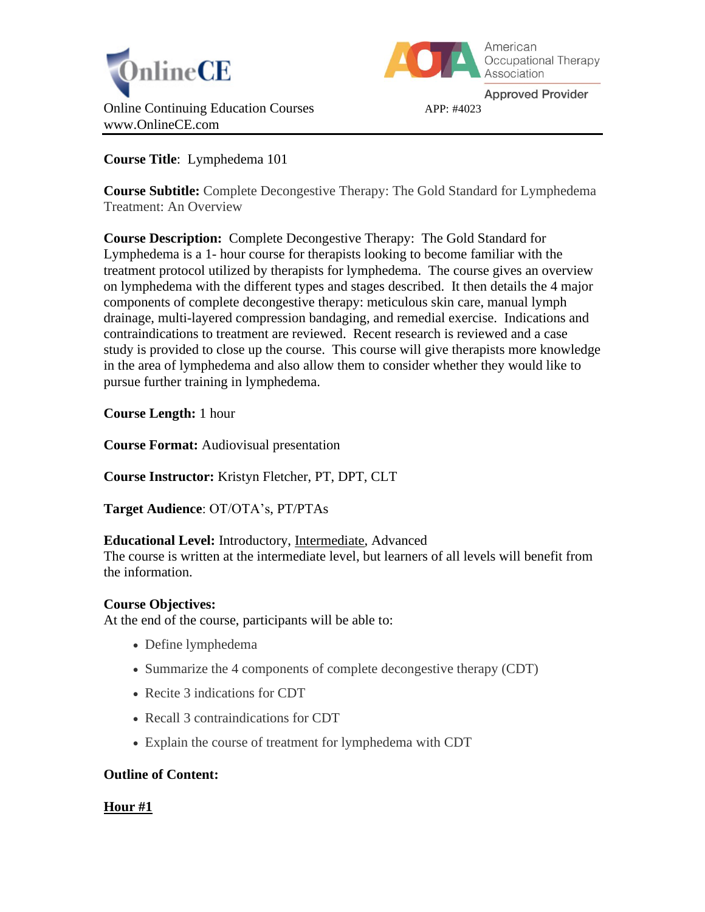



**Approved Provider** 

**Course Title**: Lymphedema 101

**Course Subtitle:** Complete Decongestive Therapy: The Gold Standard for Lymphedema Treatment: An Overview

**Course Description:** Complete Decongestive Therapy: The Gold Standard for Lymphedema is a 1- hour course for therapists looking to become familiar with the treatment protocol utilized by therapists for lymphedema. The course gives an overview on lymphedema with the different types and stages described. It then details the 4 major components of complete decongestive therapy: meticulous skin care, manual lymph drainage, multi-layered compression bandaging, and remedial exercise. Indications and contraindications to treatment are reviewed. Recent research is reviewed and a case study is provided to close up the course. This course will give therapists more knowledge in the area of lymphedema and also allow them to consider whether they would like to pursue further training in lymphedema.

**Course Length:** 1 hour

**Course Format:** Audiovisual presentation

**Course Instructor:** Kristyn Fletcher, PT, DPT, CLT

**Target Audience**: OT/OTA's, PT/PTAs

# **Educational Level:** Introductory, Intermediate, Advanced

The course is written at the intermediate level, but learners of all levels will benefit from the information.

# **Course Objectives:**

At the end of the course, participants will be able to:

- Define lymphedema
- Summarize the 4 components of complete decongestive therapy (CDT)
- Recite 3 indications for CDT
- Recall 3 contraindications for CDT
- Explain the course of treatment for lymphedema with CDT

# **Outline of Content:**

# **Hour #1**